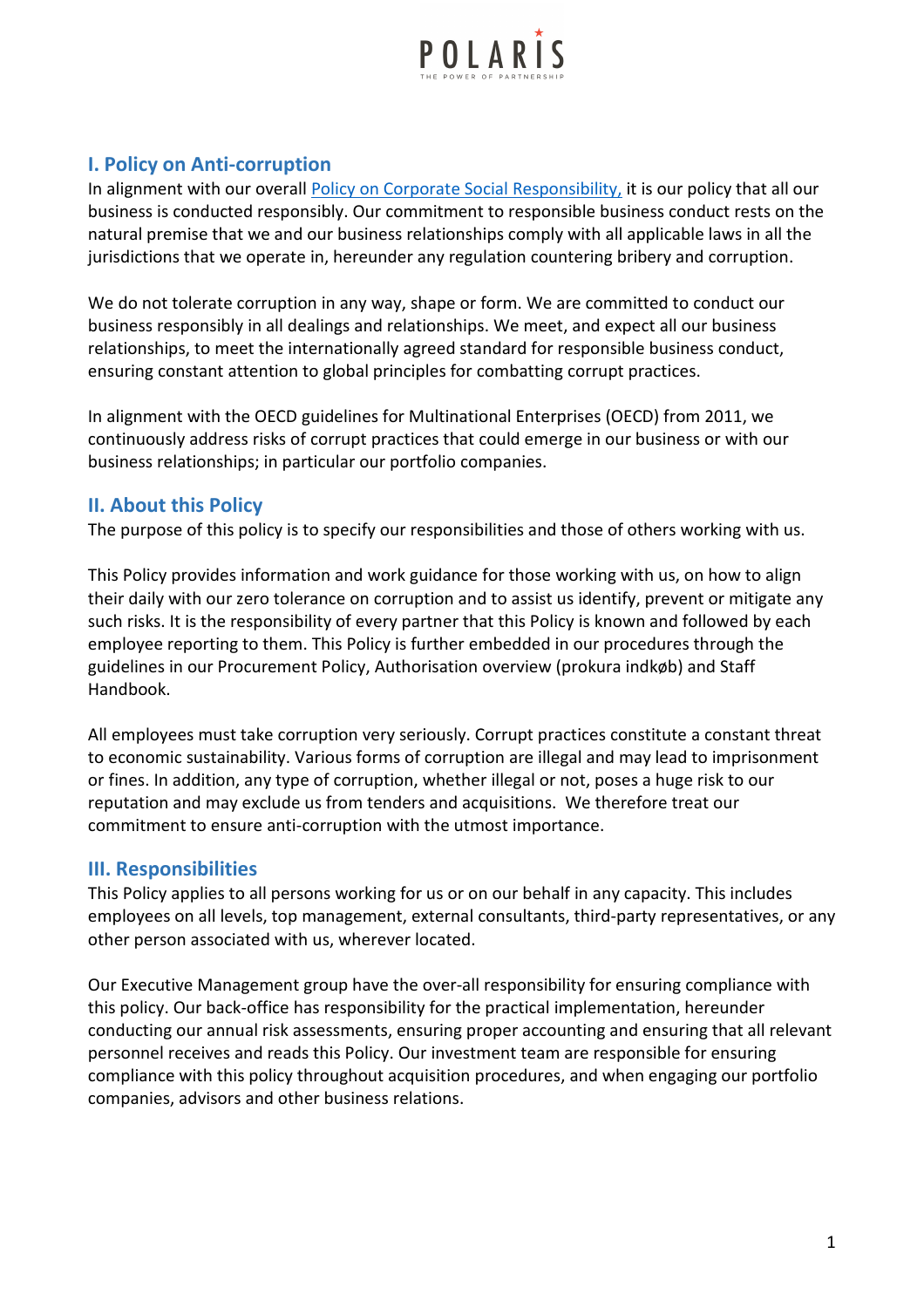

# I. Policy on Anti-corruption

In alignment with our overall Policy on Corporate Social Responsibility, it is our policy that all our business is conducted responsibly. Our commitment to responsible business conduct rests on the natural premise that we and our business relationships comply with all applicable laws in all the jurisdictions that we operate in, hereunder any regulation countering bribery and corruption.

We do not tolerate corruption in any way, shape or form. We are committed to conduct our business responsibly in all dealings and relationships. We meet, and expect all our business relationships, to meet the internationally agreed standard for responsible business conduct, ensuring constant attention to global principles for combatting corrupt practices.

In alignment with the OECD guidelines for Multinational Enterprises (OECD) from 2011, we continuously address risks of corrupt practices that could emerge in our business or with our business relationships; in particular our portfolio companies.

## II. About this Policy

The purpose of this policy is to specify our responsibilities and those of others working with us.

This Policy provides information and work guidance for those working with us, on how to align their daily with our zero tolerance on corruption and to assist us identify, prevent or mitigate any such risks. It is the responsibility of every partner that this Policy is known and followed by each employee reporting to them. This Policy is further embedded in our procedures through the guidelines in our Procurement Policy, Authorisation overview (prokura indkøb) and Staff Handbook.

All employees must take corruption very seriously. Corrupt practices constitute a constant threat to economic sustainability. Various forms of corruption are illegal and may lead to imprisonment or fines. In addition, any type of corruption, whether illegal or not, poses a huge risk to our reputation and may exclude us from tenders and acquisitions. We therefore treat our commitment to ensure anti-corruption with the utmost importance.

### III. Responsibilities

This Policy applies to all persons working for us or on our behalf in any capacity. This includes employees on all levels, top management, external consultants, third-party representatives, or any other person associated with us, wherever located.

Our Executive Management group have the over-all responsibility for ensuring compliance with this policy. Our back-office has responsibility for the practical implementation, hereunder conducting our annual risk assessments, ensuring proper accounting and ensuring that all relevant personnel receives and reads this Policy. Our investment team are responsible for ensuring compliance with this policy throughout acquisition procedures, and when engaging our portfolio companies, advisors and other business relations.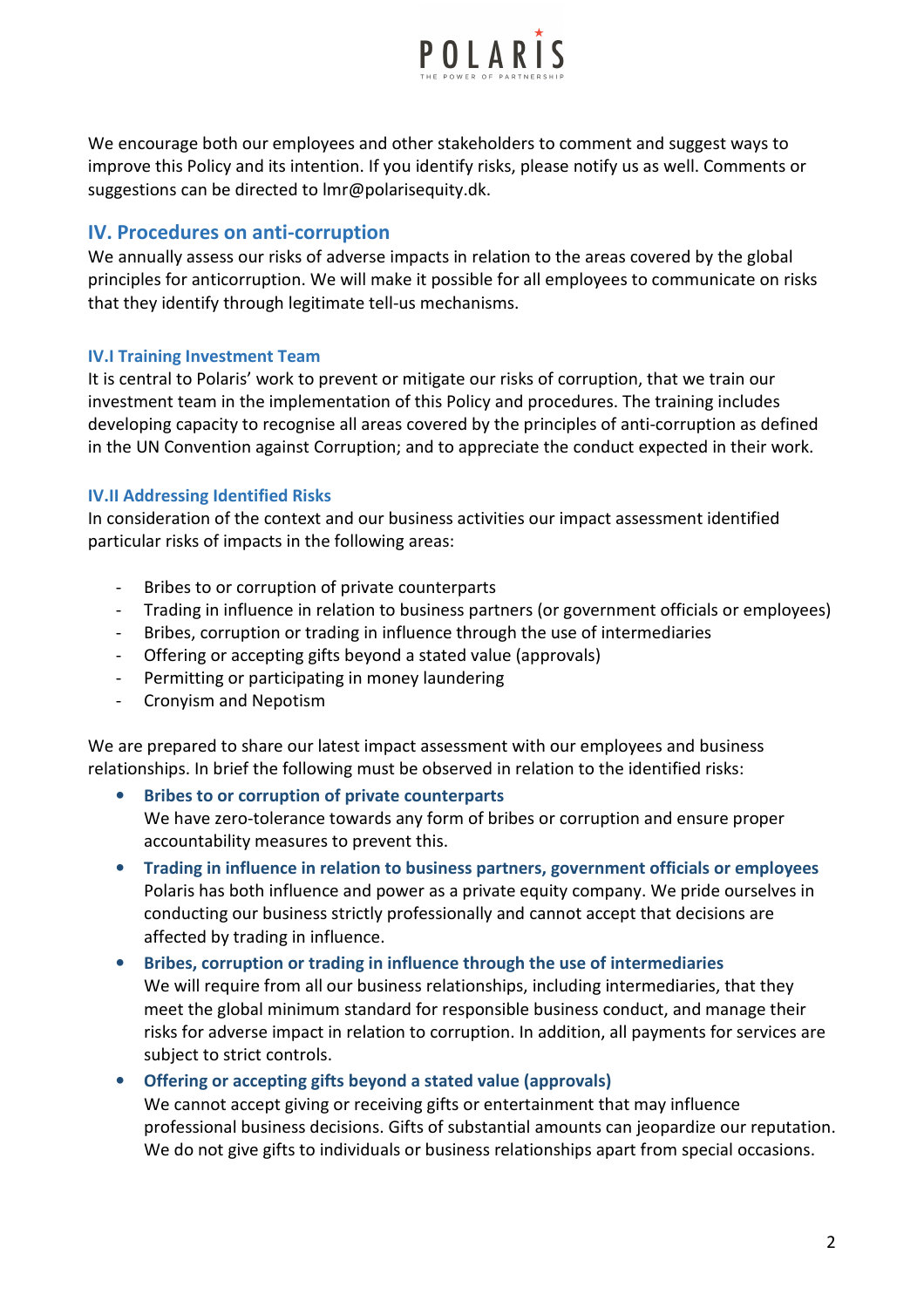

We encourage both our employees and other stakeholders to comment and suggest ways to improve this Policy and its intention. If you identify risks, please notify us as well. Comments or suggestions can be directed to lmr@polarisequity.dk.

### IV. Procedures on anti-corruption

We annually assess our risks of adverse impacts in relation to the areas covered by the global principles for anticorruption. We will make it possible for all employees to communicate on risks that they identify through legitimate tell-us mechanisms.

#### IV.I Training Investment Team

It is central to Polaris' work to prevent or mitigate our risks of corruption, that we train our investment team in the implementation of this Policy and procedures. The training includes developing capacity to recognise all areas covered by the principles of anti-corruption as defined in the UN Convention against Corruption; and to appreciate the conduct expected in their work.

#### IV.II Addressing Identified Risks

In consideration of the context and our business activities our impact assessment identified particular risks of impacts in the following areas:

- Bribes to or corruption of private counterparts
- Trading in influence in relation to business partners (or government officials or employees)
- Bribes, corruption or trading in influence through the use of intermediaries
- Offering or accepting gifts beyond a stated value (approvals)
- Permitting or participating in money laundering
- Cronyism and Nepotism

We are prepared to share our latest impact assessment with our employees and business relationships. In brief the following must be observed in relation to the identified risks:

- Bribes to or corruption of private counterparts We have zero-tolerance towards any form of bribes or corruption and ensure proper accountability measures to prevent this.
- Trading in influence in relation to business partners, government officials or employees Polaris has both influence and power as a private equity company. We pride ourselves in conducting our business strictly professionally and cannot accept that decisions are affected by trading in influence.
- Bribes, corruption or trading in influence through the use of intermediaries We will require from all our business relationships, including intermediaries, that they meet the global minimum standard for responsible business conduct, and manage their risks for adverse impact in relation to corruption. In addition, all payments for services are subject to strict controls.
- Offering or accepting gifts beyond a stated value (approvals) We cannot accept giving or receiving gifts or entertainment that may influence professional business decisions. Gifts of substantial amounts can jeopardize our reputation. We do not give gifts to individuals or business relationships apart from special occasions.